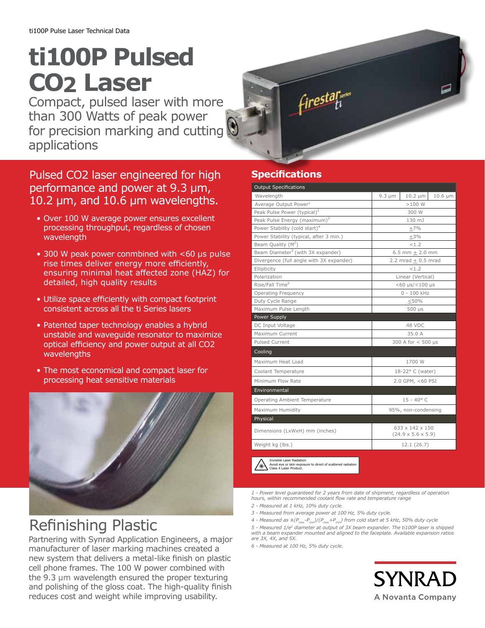# **ti100P Pulsed CO2 Laser**

Compact, pulsed laser with more than 300 Watts of peak power for precision marking and cutting applications

#### Pulsed CO2 laser engineered for high performance and power at 9.3 μm, 10.2 μm, and 10.6 μm wavelengths.

- Over 100 W average power ensures excellent processing throughput, regardless of chosen wavelength
- 300 W peak power conmbined with <60 µs pulse rise times deliver energy more efficiently, ensuring minimal heat affected zone (HAZ) for detailed, high quality results
- Utilize space efficiently with compact footprint consistent across all the ti Series lasers
- Patented taper technology enables a hybrid unstable and waveguide resonator to maximize optical efficiency and power output at all CO2 wavelengths
- The most economical and compact laser for processing heat sensitive materials



# Refinishing Plastic

Partnering with Synrad Application Engineers, a major manufacturer of laser marking machines created a new system that delivers a metal-like finish on plastic cell phone frames. The 100 W power combined with the 9.3 µm wavelength ensured the proper texturing and polishing of the gloss coat. The high-quality finish reduces cost and weight while improving usability.

### **Specifications**

| <b>Output Specifications</b>                                                                                       |                                                   |              |              |
|--------------------------------------------------------------------------------------------------------------------|---------------------------------------------------|--------------|--------------|
| Wavelength                                                                                                         | $9.3 \mu m$                                       | $10.2 \mu m$ | $10.6 \mu m$ |
| Average Output Power <sup>1</sup>                                                                                  | >100W                                             |              |              |
| Peak Pulse Power (typical) <sup>2</sup>                                                                            | 300 W                                             |              |              |
| Peak Pulse Energy (maximum) <sup>3</sup>                                                                           | 130 mJ                                            |              |              |
| Power Stability (cold start) <sup>4</sup>                                                                          | $+7%$                                             |              |              |
| Power Stability (typical, after 3 min.)                                                                            | $+3%$                                             |              |              |
| Beam Quality (M <sup>2</sup> )                                                                                     | < 1.2                                             |              |              |
| Beam Diameter <sup>5</sup> (with 3X expander)                                                                      | 6.5 mm $\pm$ 2.0 mm                               |              |              |
| Divergence (full angle with 3X expander)                                                                           | 2.2 mrad $\pm$ 0.5 mrad                           |              |              |
| Ellipticity                                                                                                        | < 1.2                                             |              |              |
| Polarization                                                                                                       | Linear (Vertical)                                 |              |              |
| Rise/Fall Time <sup>6</sup>                                                                                        | $<$ 60 $\mu$ s/ $<$ 100 $\mu$ s                   |              |              |
| <b>Operating Frequency</b>                                                                                         | 0 - 100 kHz                                       |              |              |
| Duty Cycle Range                                                                                                   | < 50%                                             |              |              |
| Maximum Pulse Length                                                                                               | $500$ $\mu s$                                     |              |              |
| Power Supply                                                                                                       |                                                   |              |              |
| DC Input Voltage                                                                                                   | 48 VDC                                            |              |              |
| Maximum Current                                                                                                    | 35.0 A                                            |              |              |
| <b>Pulsed Current</b>                                                                                              | $300$ A for $< 500$ us                            |              |              |
| Cooling                                                                                                            |                                                   |              |              |
| Maximum Heat Load                                                                                                  | 1700 W                                            |              |              |
| Coolant Temperature                                                                                                | 18-22° C (water)                                  |              |              |
| Minimum Flow Rate                                                                                                  | 2.0 GPM, <60 PSI                                  |              |              |
| Environmental                                                                                                      |                                                   |              |              |
| Operating Ambient Temperature                                                                                      | $15 - 40^{\circ}$ C                               |              |              |
| Maximum Humidity                                                                                                   | 95%, non-condensing                               |              |              |
| Physical                                                                                                           |                                                   |              |              |
| Dimensions (LxWxH) mm (inches)                                                                                     | 633 x 142 x 150<br>$(24.9 \times 5.6 \times 5.9)$ |              |              |
| Weight kg (lbs.)                                                                                                   | 12.1 (26.7)                                       |              |              |
| Invisible Laser Radiation<br>Avoid eye or skin exposure to direct of scattered radiation<br>Class 4 Laser Product. |                                                   |              |              |

*1 - Power level guaranteed for 2 years from date of shipment, regardless of operation hours, within recommended coolant flow rate and temperature range*

- *2 Measured at 1 kHz, 10% duty cycle.*
- *3 Measured from average power at 100 Hz, 5% duty cycle.*
- 4 Measured as  $\pm (P_{max}-P_{min})/(P_{max}+P_{min})$  from cold start at 5 kHz, 50% duty cycle *5 - Measured 1/e2 diameter at output of 3X beam expander. The ti100P laser is shipped with a beam expander mounted and aligned to the faceplate. Available expansion ratios are 3X, 4X, and 5X.*
- *6 Measured at 100 Hz, 5% duty cycle.*